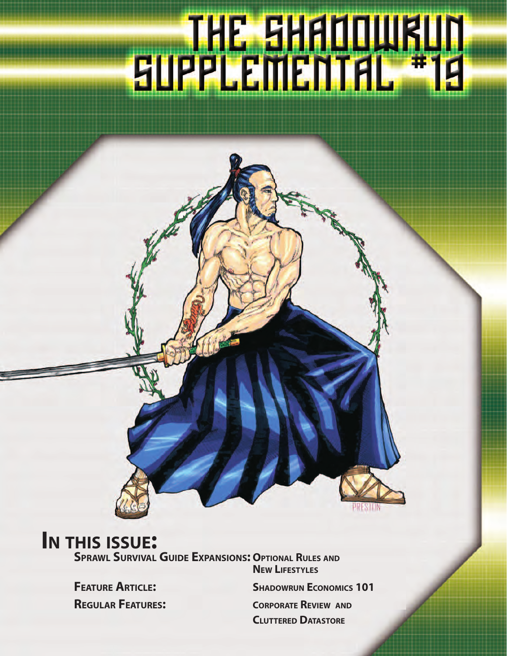# 

## **IN THIS ISSUE:**

**SPRAWL SURVIVAL GUIDE EXPANSIONS: OPTIONAL RULES AND**

**NEW LIFESTYLES FEATURE ARTICLE:** SHADOWRUN ECONOMICS 101 **REGULAR FEATURES: CORPORATE REVIEW AND CLUTTERED DATASTORE**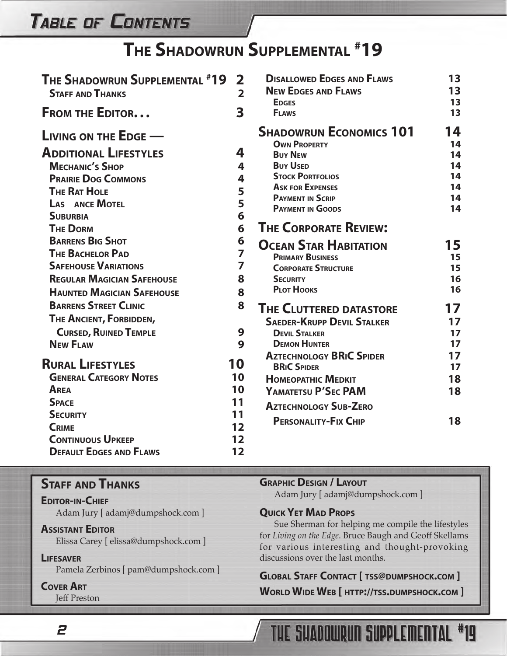## **TABLE OF CONTENTS**

## **THE SHADOWRUN SUPPLEMENTAL # 19**

| <b>THE SHADOWRUN SUPPLEMENTAL #19</b><br><b>STAFF AND THANKS</b>                                                                                                                       | $\overline{\mathbf{2}}$<br>$\overline{2}$ | <b>DISALLOWED EDGES AND FLAWS</b><br><b>NEW EDGES AND FLAWS</b><br><b>EDGES</b>                                                                                                                        | 13<br>13<br>13                               |
|----------------------------------------------------------------------------------------------------------------------------------------------------------------------------------------|-------------------------------------------|--------------------------------------------------------------------------------------------------------------------------------------------------------------------------------------------------------|----------------------------------------------|
| <b>FROM THE EDITOR</b>                                                                                                                                                                 | $\overline{\mathbf{3}}$                   | <b>FLAWS</b>                                                                                                                                                                                           | 13                                           |
| <b>LIVING ON THE EDGE -</b><br><b>ADDITIONAL LIFESTYLES</b><br><b>MECHANIC'S SHOP</b><br><b>PRAIRIE DOG COMMONS</b><br><b>THE RAT HOLE</b><br><b>LAS ANCE MOTEL</b><br><b>SUBURBIA</b> | 4<br>4<br>4<br>5<br>5<br>6                | <b>SHADOWRUN ECONOMICS 101</b><br><b>OWN PROPERTY</b><br><b>BUY NEW</b><br><b>BUY USED</b><br><b>STOCK PORTFOLIOS</b><br><b>ASK FOR EXPENSES</b><br><b>PAYMENT IN SCRIP</b><br><b>PAYMENT IN GOODS</b> | 14<br>14<br>14<br>14<br>14<br>14<br>14<br>14 |
| <b>THE DORM</b><br><b>BARRENS BIG SHOT</b><br><b>THE BACHELOR PAD</b><br><b>SAFEHOUSE VARIATIONS</b><br><b>REGULAR MAGICIAN SAFEHOUSE</b><br><b>HAUNTED MAGICIAN SAFEHOUSE</b>         | 6<br>6<br>$\overline{z}$<br>7<br>8<br>8   | <b>THE CORPORATE REVIEW:</b><br><b>OCEAN STAR HABITATION</b><br><b>PRIMARY BUSINESS</b><br><b>CORPORATE STRUCTURE</b><br><b>SECURITY</b><br><b>PLOT HOOKS</b>                                          | 15<br>15<br>15<br>16<br>16                   |
| <b>BARRENS STREET CLINIC</b><br>THE ANCIENT, FORBIDDEN,<br><b>CURSED, RUINED TEMPLE</b><br><b>NEW FLAW</b>                                                                             | 8<br>9<br>9                               | <b>THE CLUTTERED DATASTORE</b><br><b>SAEDER-KRUPP DEVIL STALKER</b><br><b>DEVIL STALKER</b><br><b>DEMON HUNTER</b>                                                                                     | 17<br>17<br>17<br>17                         |
| <b>RURAL LIFESTYLES</b><br><b>GENERAL CATEGORY NOTES</b><br>AREA<br><b>SPACE</b><br><b>SECURITY</b><br><b>CRIME</b><br><b>CONTINUOUS UPKEEP</b>                                        | 10<br>10<br>10<br>11<br>11<br>12<br>12    | <b>AZTECHNOLOGY BRIC SPIDER</b><br><b>BRIC SPIDER</b><br><b>HOMEOPATHIC MEDKIT</b><br>YAMATETSU P'SEC PAM<br><b>AZTECHNOLOGY SUB-ZERO</b><br><b>PERSONALITY-FIX CHIP</b>                               | 17<br>17<br>18<br>18<br>18                   |
| <b>DEFAULT EDGES AND FLAWS</b>                                                                                                                                                         | 12                                        |                                                                                                                                                                                                        |                                              |

#### **STAFF AND THANKS**

**EDITOR-IN-CHIEF** Adam Jury [ adamj@dumpshock.com ]

#### **ASSISTANT EDITOR**

Elissa Carey [ elissa@dumpshock.com ]

#### **LIFESAVER**

Pamela Zerbinos [ pam@dumpshock.com ]

#### **COVER ART**

2

Jeff Preston

#### **GRAPHIC DESIGN / LAYOUT**

Adam Jury [ adamj@dumpshock.com ]

#### **QUICK YET MAD PROPS**

Sue Sherman for helping me compile the lifestyles for *Living on the Edge*. Bruce Baugh and Geoff Skellams for various interesting and thought-provoking discussions over the last months.

#### **GLOBAL STAFF CONTACT [ TSS@DUMPSHOCK.COM ]**

**WORLD WIDE WEB [ HTTP://TSS.DUMPSHOCK.COM ]**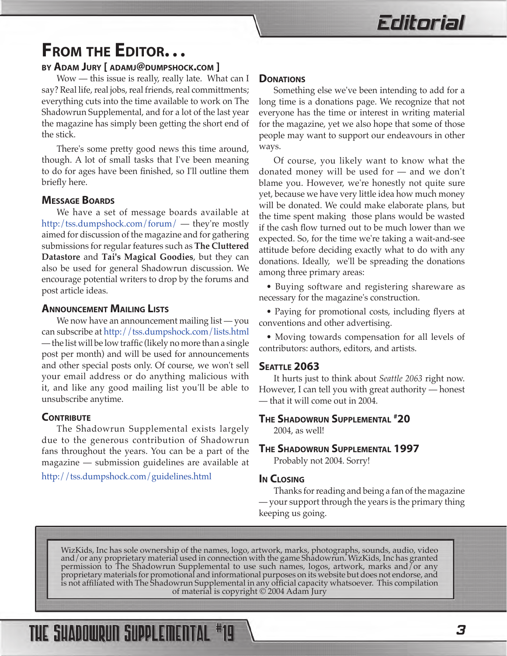## <span id="page-2-0"></span>**FROM THE EDITOR...**<br>BY ADAM JURY [ ADAMJ@DUMPSHOCK.COM ]

Wow — this issue is really, really late. What can I say? Real life, real jobs, real friends, real committments; everything cuts into the time available to work on The Shadowrun Supplemental, and for a lot of the last year the magazine has simply been getting the short end of the stick.

There's some pretty good news this time around, though. A lot of small tasks that I've been meaning to do for ages have been finished, so I'll outline them briefly here.

#### **MESSAGE BOARDS**

We have a set of message boards available at <http:/tss.dumpshock.com/forum/> — they're mostly aimed for discussion of the magazine and for gathering submissions for regular features such as **The Cluttered Datastore** and **Tai's Magical Goodies**, but they can also be used for general Shadowrun discussion. We encourage potential writers to drop by the forums and post article ideas.

#### **ANNOUNCEMENT MAILING LISTS**

We now have an announcement mailing list — you can subscribe at<http://tss.dumpshock.com/lists.html> — the list will be low traffic (likely no more than a single post per month) and will be used for announcements and other special posts only. Of course, we won't sell your email address or do anything malicious with it, and like any good mailing list you'll be able to unsubscribe anytime.

#### **CONTRIBUTE**

The Shadowrun Supplemental exists largely due to the generous contribution of Shadowrun fans throughout the years. You can be a part of the magazine — submission guidelines are available at

http://tss.dumpshock.com/guidelines.html

#### **DONATIONS**

Something else we've been intending to add for a long time is a donations page. We recognize that not everyone has the time or interest in writing material for the magazine, yet we also hope that some of those people may want to support our endeavours in other ways.

Of course, you likely want to know what the donated money will be used for — and we don't blame you. However, we're honestly not quite sure yet, because we have very little idea how much money will be donated. We could make elaborate plans, but the time spent making those plans would be wasted if the cash flow turned out to be much lower than we expected. So, for the time we're taking a wait-and-see attitude before deciding exactly what to do with any donations. Ideally, we'll be spreading the donations among three primary areas:

• Buying software and registering shareware as necessary for the magazine's construction.

• Paying for promotional costs, including flyers at conventions and other advertising.

• Moving towards compensation for all levels of contributors: authors, editors, and artists.

#### **SEATTLE 2063**

It hurts just to think about *Seattle 2063* right now. However, I can tell you with great authority — honest — that it will come out in 2004.

#### **THE SHADOWRUN SUPPLEMENTAL # 20**

2004, as well!

#### **THE SHADOWRUN SUPPLEMENTAL 1997**

Probably not 2004. Sorry!

#### **IN CLOSING**

Thanks for reading and being a fan of the magazine — your support through the years is the primary thing keeping us going.

WizKids, Inc has sole ownership of the names, logo, artwork, marks, photographs, sounds, audio, video and/or any proprietary material used in connection with the game Shadowrun. WizKids, Inc has granted permission to The Shadowrun Supplemental to use such names, logos, artwork, marks and/or any proprietary materials for promotional and informational purposes on its website but does not endorse, and is not affiliated with The Shadowrun Supplemental in any official capacity whatsoever. This compilation of material is copyright © 2004 Adam Jury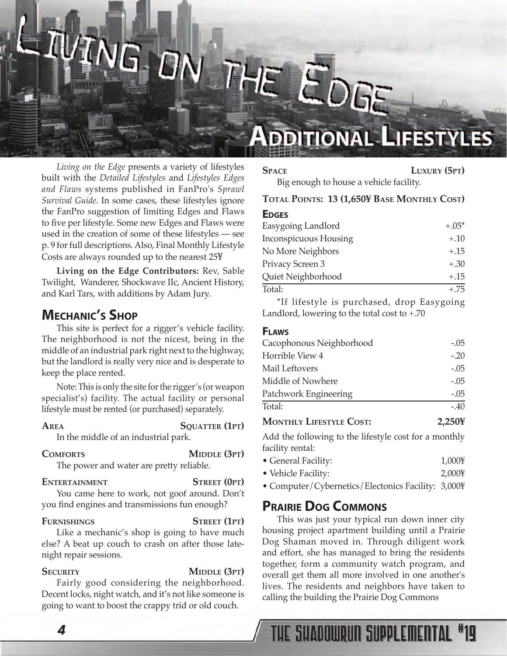## <span id="page-3-0"></span> $\mathbf{L}$ ARL **DITION** THE EDGE

#### *Living on the Edge* presents a variety of lifestyles built with the *Detailed Lifestyles* and *Lifestyles Edges and Flaws* systems published in FanPro's *Sprawl Survival Guide*. In some cases, these lifestyles ignore the FanPro suggestion of limiting Edges and Flaws to five per lifestyle. Some new Edges and Flaws were used in the creation of some of these lifestyles — see p. 9 for full descriptions. Also, Final Monthly Lifestyle Costs are always rounded up to the nearest 25¥

**Living on the Edge Contributors:** Rev, Sable Twilight, Wanderer, Shockwave IIc, Ancient History, and Karl Tars, with additions by Adam Jury.

#### **MECHANIC'S SHOP**

This site is perfect for a rigger's vehicle facility. The neighborhood is not the nicest, being in the middle of an industrial park right next to the highway, but the landlord is really very nice and is desperate to keep the place rented.

Note: This is only the site for the rigger's (or weapon specialist's) facility. The actual facility or personal lifestyle must be rented (or purchased) separately.

**AREA SQUATTER (1PT)** 

In the middle of an industrial park.

#### **COMFORTS MIDDLE (3PT)**

The power and water are pretty reliable.

#### **ENTERTAINMENT STREET (0PT)**

You came here to work, not goof around. Don't you find engines and transmissions fun enough?

#### **FURNISHINGS STREET (1PT)**

Like a mechanic's shop is going to have much else? A beat up couch to crash on after those latenight repair sessions.

#### **SECURITY MIDDLE (3PT)**

Fairly good considering the neighborhood. Decent locks, night watch, and it's not like someone is going to want to boost the crappy trid or old couch.

**DDITIONAL LIFESTYLES** 

**SPACE LUXURY (5PT)** Big enough to house a vehicle facility.

#### **TOTAL POINTS: 13 (1,650¥ BASE MONTHLY COST)**

| <b>EDGES</b>                 |         |
|------------------------------|---------|
| Easygoing Landlord           | $+.05*$ |
| <b>Inconspicuous Housing</b> | $+.10$  |
| No More Neighbors            | $+.15$  |
| Privacy Screen 3             | $+.30$  |
| Quiet Neighborhood           | $+.15$  |
| Total:                       | $+.75$  |
|                              |         |

\*If lifestyle is purchased, drop Easygoing Landlord, lowering to the total cost to +.70

| <b>FLAWS</b>                   |        |
|--------------------------------|--------|
| Cacophonous Neighborhood       | $-.05$ |
| Horrible View 4                | $-20$  |
| Mail Leftovers                 | $-.05$ |
| Middle of Nowhere              | $-.05$ |
| Patchwork Engineering          | $-.05$ |
| Total:                         | $-.40$ |
| <b>MONTHLY LIFESTYLE COST:</b> | 2.25   |

Add the following to the lifestyle cost for a monthly facility rental:

- General Facility: 1,000¥
- Vehicle Facility: 2,000¥

• Computer/Cybernetics/Electonics Facility: 3,000¥

#### **PRAIRIE DOG COMMONS**

This was just your typical run down inner city housing project apartment building until a Prairie Dog Shaman moved in. Through diligent work and effort, she has managed to bring the residents together, form a community watch program, and overall get them all more involved in one another's lives. The residents and neighbors have taken to calling the building the Prairie Dog Commons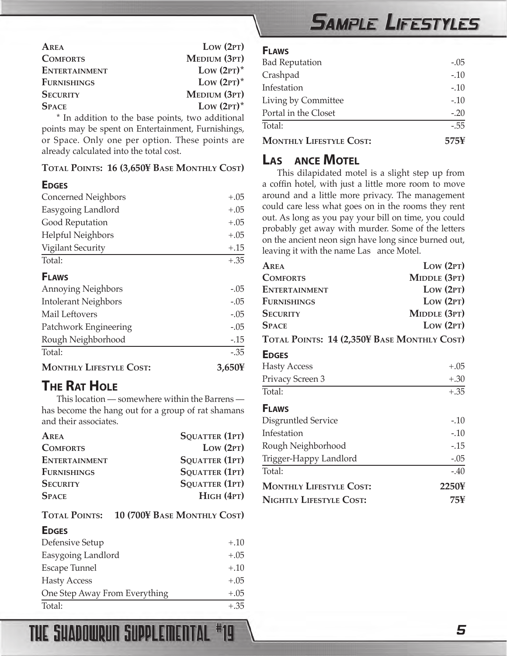## **SAMPLE LIFESTYLES**

<span id="page-4-0"></span>

| AREA                                              | Low (2PT)     |
|---------------------------------------------------|---------------|
| <b>COMFORTS</b>                                   | MEDIUM (3PT)  |
| <b>ENTERTAINMENT</b>                              | Low $(2PT)^*$ |
| <b>FURNISHINGS</b>                                | Low $(2PT)^*$ |
| <b>SECURITY</b>                                   | MEDIUM (3PT)  |
| <b>SPACE</b>                                      | Low $(2PT)^*$ |
| t Is a ddition to the begge mointe two odditional |               |

In addition to the base points, two additional points may be spent on Entertainment, Furnishings, or Space. Only one per option. These points are already calculated into the total cost.

#### **TOTAL POINTS: 16 (3,650¥ BASE MONTHLY COST)**

#### **EDGES**

| <b>MONTHLY LIFESTYLE COST:</b> | 3,650¥  |
|--------------------------------|---------|
| Total:                         | $-.35$  |
| Rough Neighborhood             | $-0.15$ |
| Patchwork Engineering          | $-.05$  |
| Mail Leftovers                 | $-.05$  |
| <b>Intolerant Neighbors</b>    | $-.05$  |
| <b>Annoying Neighbors</b>      | $-.05$  |
| <b>FLAWS</b>                   |         |
| Total:                         | $+.35$  |
| <b>Vigilant Security</b>       | $+.15$  |
| <b>Helpful Neighbors</b>       | $+.05$  |
| Good Reputation                | $+.05$  |
| Easygoing Landlord             | $+.05$  |
| Concerned Neighbors            | $+.05$  |

## **THE RAT HOLE**

This location — somewhere within the Barrens has become the hang out for a group of rat shamans and their associates.

| AREA                 | SQUATTER (1PT)              |
|----------------------|-----------------------------|
| <b>COMFORTS</b>      | Low (2PT)                   |
| <b>ENTERTAINMENT</b> | <b>SQUATTER (1PT)</b>       |
| <b>FURNISHINGS</b>   | <b>SQUATTER (1PT)</b>       |
| <b>SECURITY</b>      | SQUATTER (1PT)              |
| <b>SPACE</b>         | $H$ IGH $(4PT)$             |
| <b>TOTAL POINTS:</b> | 10 (700¥ BASE MONTHLY COST) |
| <b>EDGES</b>         |                             |
| Defensive Setup      | $+.10$                      |
| Easygoing Landlord   | $+.05$                      |
| <b>Escape Tunnel</b> | $+.10$                      |
| <b>Hasty Access</b>  | $+.05$                      |

One Step Away From Everything  $+0.05$ Total:  $+ .35$ 

#### **FLAWS**

| <b>MONTHLY LIFESTYLE COST:</b> | 575¥   |
|--------------------------------|--------|
| Total:                         | $-.55$ |
| Portal in the Closet           | $-.20$ |
| Living by Committee            | $-.10$ |
| Infestation                    | $-.10$ |
| Crashpad                       | $-.10$ |
| <b>Bad Reputation</b>          | $-.05$ |
|                                |        |

#### **LAS ANCE MOTEL**

This dilapidated motel is a slight step up from a coffin hotel, with just a little more room to move around and a little more privacy. The management could care less what goes on in the rooms they rent out. As long as you pay your bill on time, you could probably get away with murder. Some of the letters on the ancient neon sign have long since burned out, leaving it with the name Las ance Motel.

| AREA                                        | Low (2PT)    |
|---------------------------------------------|--------------|
| <b>COMFORTS</b>                             | MIDDLE (3PT) |
| <b>ENTERTAINMENT</b>                        | Low (2PT)    |
| <b>FURNISHINGS</b>                          | Low (2PT)    |
| <b>SECURITY</b>                             | MIDDLE (3PT) |
| <b>SPACE</b>                                | Low (2PT)    |
| TOTAL POINTS: 14 (2,350¥ BASE MONTHLY COST) |              |
| <b>EDGES</b>                                |              |
| <b>Hasty Access</b>                         | $+.05$       |
| Privacy Screen 3                            | $+.30$       |
| Total:                                      | $+.35$       |
| <b>FLAWS</b>                                |              |
| Disgruntled Service                         | $-.10$       |
| Infestation                                 | $-.10$       |
| Rough Neighborhood                          | $-15$        |
| Trigger-Happy Landlord                      | $-.05$       |
| Total:                                      | $-.40$       |
| <b>MONTHLY LIFESTYLE COST:</b>              | 2250¥        |
| NIGHTLY LIFESTYLE COST:                     | 75¥          |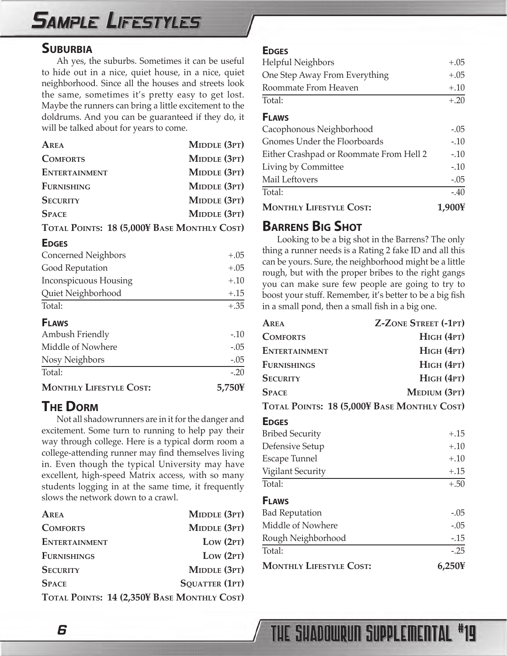## <span id="page-5-0"></span>**SAMPLE LIFESTYLES**

#### **SUBURBIA**

Ah yes, the suburbs. Sometimes it can be useful to hide out in a nice, quiet house, in a nice, quiet neighborhood. Since all the houses and streets look the same, sometimes it's pretty easy to get lost. Maybe the runners can bring a little excitement to the doldrums. And you can be guaranteed if they do, it will be talked about for years to come.

| AREA                                        | MIDDLE (3PT) |
|---------------------------------------------|--------------|
| <b>COMFORTS</b>                             | MIDDLE (3PT) |
| <b>ENTERTAINMENT</b>                        | MIDDLE (3PT) |
| <b>FURNISHING</b>                           | MIDDLE (3PT) |
| <b>SECURITY</b>                             | MIDDLE (3PT) |
| <b>SPACE</b>                                | MIDDLE (3PT) |
| TOTAL POINTS: 18 (5,000¥ BASE MONTHLY COST) |              |

#### **EDGES**

| <b>Concerned Neighbors</b> | $+.05$ |
|----------------------------|--------|
| Good Reputation            | $+.05$ |
| Inconspicuous Housing      | $+.10$ |
| Quiet Neighborhood         | $+.15$ |
| Total:                     | $+.35$ |

#### **FLAWS**

| <b>MONTHLY LIFESTYLE COST:</b> | 5,750¥ |
|--------------------------------|--------|
| Total:                         | $-20$  |
| Nosy Neighbors                 | $-.05$ |
| Middle of Nowhere              | $-.05$ |
| Ambush Friendly                | $-.10$ |

#### **THE DORM**

Not all shadowrunners are in it for the danger and excitement. Some turn to running to help pay their way through college. Here is a typical dorm room a college-attending runner may find themselves living in. Even though the typical University may have excellent, high-speed Matrix access, with so many students logging in at the same time, it frequently slows the network down to a crawl.

| AREA                                        | MIDDLE (3PT)          |
|---------------------------------------------|-----------------------|
| <b>COMFORTS</b>                             | MIDDLE (3PT)          |
| <b>ENTERTAINMENT</b>                        | Low (2PT)             |
| <b>FURNISHINGS</b>                          | Low (2PT)             |
| <b>SECURITY</b>                             | MIDDLE (3PT)          |
| <b>SPACE</b>                                | <b>SQUATTER (1PT)</b> |
| TOTAL POINTS: 14 (2,350¥ BASE MONTHLY COST) |                       |

#### **EDGES**

| Helpful Neighbors                       | $+.05$ |
|-----------------------------------------|--------|
| One Step Away From Everything           | $+.05$ |
| Roommate From Heaven                    | $+.10$ |
| Total:                                  | $+.20$ |
| <b>FLAWS</b>                            |        |
| Cacophonous Neighborhood                | $-.05$ |
| Gnomes Under the Floorboards            | $-.10$ |
| Either Crashpad or Roommate From Hell 2 | $-10$  |
| Living by Committee                     | $-.10$ |
| Mail Leftovers                          | $-.05$ |
| Total:                                  | $-.40$ |
| <b>MONTHLY LIFESTYLE COST:</b>          | 1,90   |

#### **BARRENS BIG SHOT**

Looking to be a big shot in the Barrens? The only thing a runner needs is a Rating 2 fake ID and all this can be yours. Sure, the neighborhood might be a little rough, but with the proper bribes to the right gangs you can make sure few people are going to try to boost your stuff. Remember, it's better to be a big fish in a small pond, then a small fish in a big one.

| AREA                                        | <b>Z-ZONE STREET (-1PT)</b> |
|---------------------------------------------|-----------------------------|
| <b>COMFORTS</b>                             | $H$ IGH $(4PT)$             |
| <b>ENTERTAINMENT</b>                        | $H$ IGH $(4PT)$             |
| <b>FURNISHINGS</b>                          | $H$ IGH $(4PT)$             |
| <b>SECURITY</b>                             | $H$ IGH $(4PT)$             |
| <b>SPACE</b>                                | MEDIUM (3PT)                |
| TOTAL POINTS: 18 (5,000¥ BASE MONTHLY COST) |                             |
| <b>EDGES</b>                                |                             |
| <b>Bribed Security</b>                      | $+.15$                      |
| Defensive Setup                             | $+.10$                      |
| <b>Escape Tunnel</b>                        | $+.10$                      |
| Vigilant Security                           | $+.15$                      |
| Total:                                      | $+.50$                      |
| <b>FLAWS</b>                                |                             |
| <b>Bad Reputation</b>                       | $-.05$                      |
| Middle of Nowhere                           | $-.05$                      |
| Rough Neighborhood                          | $-0.15$                     |
| Total:                                      | $-0.25$                     |
| <b>MONTHLY LIFESTYLE COST:</b>              | 6,250¥                      |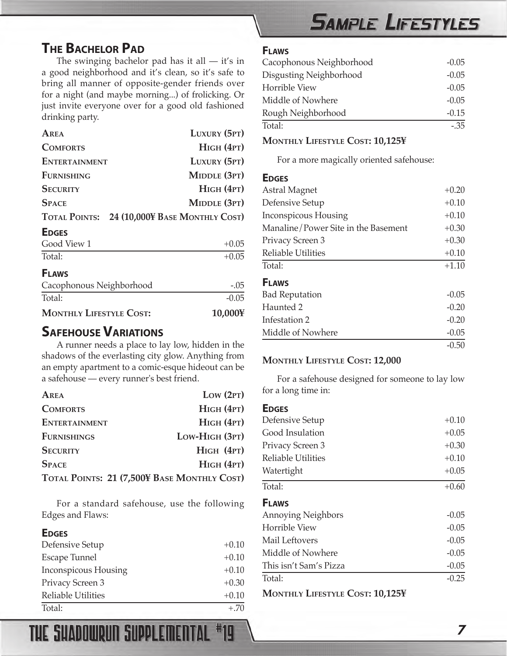#### <span id="page-6-0"></span>**THE BACHELOR PAD**

The swinging bachelor pad has it all — it's in a good neighborhood and it's clean, so it's safe to bring all manner of opposite-gender friends over for a night (and maybe morning...) of frolicking. Or just invite everyone over for a good old fashioned drinking party.

| AREA                 | LUXURY (5PT)                                 |
|----------------------|----------------------------------------------|
| <b>COMFORTS</b>      | $H$ IGH $(4PT)$                              |
| <b>ENTERTAINMENT</b> | LUXURY (5PT)                                 |
| <b>FURNISHING</b>    | MIDDLE (3PT)                                 |
| <b>SECURITY</b>      | HIGH (4PT)                                   |
| <b>SPACE</b>         | MIDDLE (3PT)                                 |
|                      | TOTAL POINTS: 24 (10,000¥ BASE MONTHLY COST) |
|                      |                                              |

#### **EDGES**

| Good View 1 | $+0.05$ |
|-------------|---------|
| Total:      | $+0.05$ |

#### **FLAWS**

| Cacophonous Neighborhood       | $-.05$  |
|--------------------------------|---------|
| Total:                         | $-0.05$ |
| <b>MONTHLY LIFESTYLE COST:</b> | 10,000¥ |

#### **SAFEHOUSE VARIATIONS**

A runner needs a place to lay low, hidden in the shadows of the everlasting city glow. Anything from an empty apartment to a comic-esque hideout can be a safehouse — every runner's best friend.

| AREA                                        | Low (2PT)       |
|---------------------------------------------|-----------------|
| <b>COMFORTS</b>                             | $H$ IGH $(4PT)$ |
| <b>ENTERTAINMENT</b>                        | HIGH (4PT)      |
| <b>FURNISHINGS</b>                          | Low-HIGH (3PT)  |
| <b>SECURITY</b>                             | $H$ IGH $(4PT)$ |
| <b>SPACE</b>                                | $H$ IGH $(4PT)$ |
| TOTAL POINTS: 21 (7,500¥ BASE MONTHLY COST) |                 |

For a standard safehouse, use the following Edges and Flaws:

#### **EDGES**

| Defensive Setup           | $+0.10$ |
|---------------------------|---------|
| <b>Escape Tunnel</b>      | $+0.10$ |
| Inconspicous Housing      | $+0.10$ |
| Privacy Screen 3          | $+0.30$ |
| <b>Reliable Utilities</b> | $+0.10$ |
| Total:                    | $+.70$  |

THE SHADOWRUN SUPPLEMENTAL #19

## **SAMPLE LIFESTYLES**

#### **FLAWS**

| Cacophonous Neighborhood | $-0.05$ |
|--------------------------|---------|
| Disgusting Neighborhood  | $-0.05$ |
| <b>Horrible View</b>     | $-0.05$ |
| Middle of Nowhere        | $-0.05$ |
| Rough Neighborhood       | $-0.15$ |
| Total:                   | $-35$   |

#### **MONTHLY LIFESTYLE COST: 10,125¥**

For a more magically oriented safehouse:

#### **EDGES**

| Astral Magnet                       | $+0.20$ |
|-------------------------------------|---------|
| Defensive Setup                     | $+0.10$ |
| Inconspicous Housing                | $+0.10$ |
| Manaline/Power Site in the Basement | $+0.30$ |
| Privacy Screen 3                    | $+0.30$ |
| <b>Reliable Utilities</b>           | $+0.10$ |
| Total:                              | $+1.10$ |
| <b>FLAWS</b>                        |         |
| <b>Bad Reputation</b>               | $-0.05$ |
| Haunted 2                           | $-0.20$ |
| Infestation 2                       | $-0.20$ |
| Middle of Nowhere                   | $-0.05$ |
|                                     | $-0.50$ |

#### **MONTHLY LIFESTYLE COST: 12,000**

For a safehouse designed for someone to lay low for a long time in:

#### **EDGES**

| ►◡◡⊢◡                     |         |
|---------------------------|---------|
| Defensive Setup           | $+0.10$ |
| Good Insulation           | $+0.05$ |
| Privacy Screen 3          | $+0.30$ |
| <b>Reliable Utilities</b> | $+0.10$ |
| Watertight                | $+0.05$ |
| Total:                    | $+0.60$ |
| <b>FLAWS</b>              |         |
| <b>Annoying Neighbors</b> | $-0.05$ |
| <b>Horrible View</b>      | $-0.05$ |
| Mail Leftovers            | $-0.05$ |
| Middle of Nowhere         | $-0.05$ |
| This isn't Sam's Pizza    | $-0.05$ |
| Total:                    | $-0.25$ |
|                           |         |

**MONTHLY LIFESTYLE COST: 10,125¥**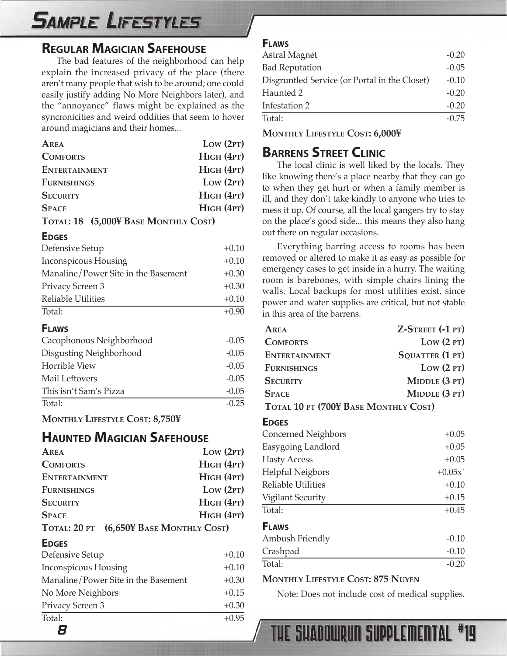## <span id="page-7-0"></span>**SAMPLE LIFESTYLES**

#### **REGULAR MAGICIAN SAFEHOUSE**

The bad features of the neighborhood can help explain the increased privacy of the place (there aren't many people that wish to be around; one could easily justify adding No More Neighbors later), and the "annoyance" flaws might be explained as the syncronicities and weird oddities that seem to hover around magicians and their homes...

| AREA                                 | Low (2PT)       |
|--------------------------------------|-----------------|
| <b>COMFORTS</b>                      | $H$ IGH $(4PT)$ |
| <b>ENTERTAINMENT</b>                 | $H$ IGH $(4PT)$ |
| <b>FURNISHINGS</b>                   | Low (2PT)       |
| <b>SECURITY</b>                      | $H$ IGH $(4PT)$ |
| <b>SPACE</b>                         | $H$ IGH $(4PT)$ |
| TOTAL: 18 (5,000¥ BASE MONTHLY COST) |                 |

#### **EDGES**

| Defensive Setup                     | $+0.10$ |
|-------------------------------------|---------|
| Inconspicous Housing                | $+0.10$ |
| Manaline/Power Site in the Basement | $+0.30$ |
| Privacy Screen 3                    | $+0.30$ |
| Reliable Utilities                  | $+0.10$ |
| Total:                              | $+0.90$ |

#### **FLAWS**

| Cacophonous Neighborhood | $-0.05$ |
|--------------------------|---------|
| Disgusting Neighborhood  | $-0.05$ |
| Horrible View            | $-0.05$ |
| Mail Leftovers           | $-0.05$ |
| This isn't Sam's Pizza   | $-0.05$ |
| Total:                   | $-0.25$ |

**MONTHLY LIFESTYLE COST: 8,750¥**

#### **HAUNTED MAGICIAN SAFEHOUSE**

| AREA                                    | Low (2PT)       |
|-----------------------------------------|-----------------|
| <b>COMFORTS</b>                         | $H$ IGH $(4PT)$ |
| <b>ENTERTAINMENT</b>                    | $H$ IGH $(4PT)$ |
| <b>FURNISHINGS</b>                      | Low (2PT)       |
| <b>SECURITY</b>                         | $H$ IGH $(4PT)$ |
| <b>SPACE</b>                            | $H$ IGH $(4PT)$ |
| TOTAL: 20 PT (6,650¥ BASE MONTHLY COST) |                 |

#### **EDGES**

| Defensive Setup                     | $+0.10$ |
|-------------------------------------|---------|
| Inconspicous Housing                | $+0.10$ |
| Manaline/Power Site in the Basement | $+0.30$ |
| No More Neighbors                   | $+0.15$ |
| Privacy Screen 3                    | $+0.30$ |
| Total:                              | $+0.95$ |
| 8                                   |         |

#### **FLAWS**

| Astral Magnet                                 | $-0.20$ |
|-----------------------------------------------|---------|
| <b>Bad Reputation</b>                         | $-0.05$ |
| Disgruntled Service (or Portal in the Closet) | $-0.10$ |
| Haunted 2                                     | $-0.20$ |
| Infestation 2                                 | $-0.20$ |
| Total:                                        | $-0.75$ |
|                                               |         |

**MONTHLY LIFESTYLE COST: 6,000¥**

#### **BARRENS STREET CLINIC**

The local clinic is well liked by the locals. They like knowing there's a place nearby that they can go to when they get hurt or when a family member is ill, and they don't take kindly to anyone who tries to mess it up. Of course, all the local gangers try to stay on the place's good side... this means they also hang out there on regular occasions.

Everything barring access to rooms has been removed or altered to make it as easy as possible for emergency cases to get inside in a hurry. The waiting room is barebones, with simple chairs lining the walls. Local backups for most utilities exist, since power and water supplies are critical, but not stable in this area of the barrens.

| AREA                                 | Z-STREET (-1 PT) |  |  |
|--------------------------------------|------------------|--|--|
| <b>COMFORTS</b>                      | Low (2PT)        |  |  |
| <b>ENTERTAINMENT</b>                 | SQUATTER (1 PT)  |  |  |
| <b>FURNISHINGS</b>                   | Low (2PT)        |  |  |
| <b>SECURITY</b>                      | MIDDLE (3 PT)    |  |  |
| <b>SPACE</b>                         | MIDDLE (3 PT)    |  |  |
| TOTAL 10 PT (700¥ BASE MONTHLY COST) |                  |  |  |
| <b>EDGES</b>                         |                  |  |  |
| Concerned Neighbors                  | $+0.05$          |  |  |
| Easygoing Landlord                   | $+0.05$          |  |  |
| <b>Hasty Access</b>                  | $+0.05$          |  |  |
| <b>Helpful Neigbors</b>              | $+0.05x$         |  |  |
| <b>Reliable Utilities</b>            | $+0.10$          |  |  |
| <b>Vigilant Security</b>             | $+0.15$          |  |  |
| Total:                               | $+0.45$          |  |  |
| <b>FLAWS</b>                         |                  |  |  |
| Ambush Friendly                      | $-0.10$          |  |  |
| Crashpad                             | $-0.10$          |  |  |

#### **MONTHLY LIFESTYLE COST: 875 NUYEN**

Note: Does not include cost of medical supplies.

 $\text{Total:}$   $-0.20$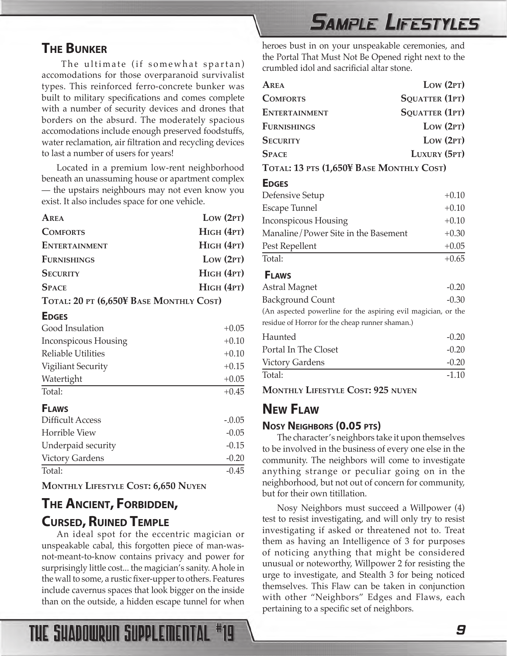#### <span id="page-8-0"></span>**THE BUNKER**

The ultimate (if somewhat spartan) accomodations for those overparanoid survivalist types. This reinforced ferro-concrete bunker was built to military specifications and comes complete with a number of security devices and drones that borders on the absurd. The moderately spacious accomodations include enough preserved foodstuffs, water reclamation, air filtration and recycling devices to last a number of users for years!

Located in a premium low-rent neighborhood beneath an unassuming house or apartment complex — the upstairs neighbours may not even know you exist. It also includes space for one vehicle.

| AREA                                    | Low (2PT)       |
|-----------------------------------------|-----------------|
| <b>COMFORTS</b>                         | $H$ IGH $(4PT)$ |
| <b>ENTERTAINMENT</b>                    | $H$ IGH $(4PT)$ |
| <b>FURNISHINGS</b>                      | Low (2PT)       |
| <b>SECURITY</b>                         | $H$ IGH $(4PT)$ |
| <b>SPACE</b>                            | $H$ IGH $(4PT)$ |
| TOTAL: 20 PT (6,650¥ BASE MONTHLY COST) |                 |

#### **EDGES**

| Good Insulation           | $+0.05$  |
|---------------------------|----------|
| Inconspicous Housing      | $+0.10$  |
| <b>Reliable Utilities</b> | $+0.10$  |
| Vigiliant Security        | $+0.15$  |
| Watertight                | $+0.05$  |
| Total:                    | $+0.45$  |
| <b>FLAWS</b>              |          |
| Difficult Access          | $-.0.05$ |
| <b>Horrible View</b>      | $-0.05$  |
| Underpaid security        | $-0.15$  |
| <b>Victory Gardens</b>    | $-0.20$  |
| Total:                    | $-0.45$  |

**MONTHLY LIFESTYLE COST: 6,650 NUYEN**

THE SHADOWRUN SUPPLEMENTAL

## **THE ANCIENT, FORBIDDEN, CURSED, RUINED TEMPLE**

An ideal spot for the eccentric magician or unspeakable cabal, this forgotten piece of man-wasnot-meant-to-know contains privacy and power for surprisingly little cost... the magician's sanity. A hole in the wall to some, a rustic fixer-upper to others. Features include cavernus spaces that look bigger on the inside than on the outside, a hidden escape tunnel for when

## **SAMPLE LIFESTYLES**

heroes bust in on your unspeakable ceremonies, and the Portal That Must Not Be Opened right next to the crumbled idol and sacrificial altar stone.

| Area                                                          | Low (2PT)             |
|---------------------------------------------------------------|-----------------------|
| <b>COMFORTS</b>                                               | SQUATTER (1PT)        |
| <b>ENTERTAINMENT</b>                                          | <b>SQUATTER (1PT)</b> |
| <b>FURNISHINGS</b>                                            | Low (2PT)             |
| <b>SECURITY</b>                                               | Low (2PT)             |
| <b>SPACE</b>                                                  | LUXURY (5PT)          |
| TOTAL: 13 PTS (1,650¥ BASE MONTHLY COST)                      |                       |
| <b>EDGES</b>                                                  |                       |
| Defensive Setup                                               | $+0.10$               |
| Escape Tunnel                                                 | $+0.10$               |
| <b>Inconspicous Housing</b>                                   | $+0.10$               |
| Manaline/Power Site in the Basement                           | $+0.30$               |
| Pest Repellent                                                | $+0.05$               |
| Total:                                                        | $+0.65$               |
| <b>FLAWS</b>                                                  |                       |
| <b>Astral Magnet</b>                                          | $-0.20$               |
| <b>Background Count</b>                                       | $-0.30$               |
| (An aspected powerline for the aspiring evil magician, or the |                       |
| residue of Horror for the cheap runner shaman.)               |                       |
| Haunted                                                       | $-0.20$               |
| Portal In The Closet                                          | $-0.20$               |
| <b>Victory Gardens</b>                                        | $-0.20$               |
| Total:                                                        | $-1.10$               |

**MONTHLY LIFESTYLE COST: 925 NUYEN**

#### **NEW FLAW**

#### **NOSY NEIGHBORS (0.05 PTS)**

The character's neighbors take it upon themselves to be involved in the business of every one else in the community. The neighbors will come to investigate anything strange or peculiar going on in the neighborhood, but not out of concern for community, but for their own titillation.

Nosy Neighbors must succeed a Willpower (4) test to resist investigating, and will only try to resist investigating if asked or threatened not to. Treat them as having an Intelligence of 3 for purposes of noticing anything that might be considered unusual or noteworthy, Willpower 2 for resisting the urge to investigate, and Stealth 3 for being noticed themselves. This Flaw can be taken in conjunction with other "Neighbors" Edges and Flaws, each pertaining to a specific set of neighbors.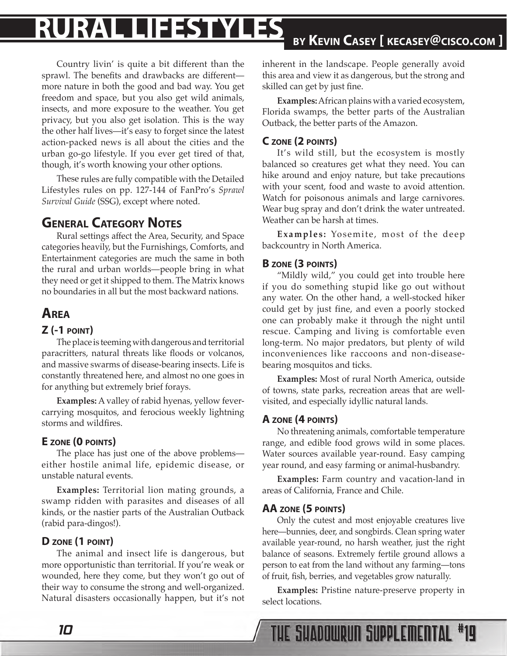# <span id="page-9-0"></span>**RURAL LIFESTYLES BY KEVIN CASEY [ KECASEY@CISCO.COM ]**

Country livin' is quite a bit different than the sprawl. The benefits and drawbacks are different more nature in both the good and bad way. You get freedom and space, but you also get wild animals, insects, and more exposure to the weather. You get privacy, but you also get isolation. This is the way the other half lives—it's easy to forget since the latest action-packed news is all about the cities and the urban go-go lifestyle. If you ever get tired of that, though, it's worth knowing your other options.

These rules are fully compatible with the Detailed Lifestyles rules on pp. 127-144 of FanPro's *Sprawl Survival Guide* (SSG), except where noted.

#### **GENERAL CATEGORY NOTES**

Rural settings affect the Area, Security, and Space categories heavily, but the Furnishings, Comforts, and Entertainment categories are much the same in both the rural and urban worlds—people bring in what they need or get it shipped to them. The Matrix knows no boundaries in all but the most backward nations.

#### **AREA**

#### **Z (-1 POINT)**

The place is teeming with dangerous and territorial paracritters, natural threats like floods or volcanos, and massive swarms of disease-bearing insects. Life is constantly threatened here, and almost no one goes in for anything but extremely brief forays.

**Examples:** A valley of rabid hyenas, yellow fevercarrying mosquitos, and ferocious weekly lightning storms and wildfires.

#### **E ZONE (0 POINTS)**

The place has just one of the above problems either hostile animal life, epidemic disease, or unstable natural events.

**Examples:** Territorial lion mating grounds, a swamp ridden with parasites and diseases of all kinds, or the nastier parts of the Australian Outback (rabid para-dingos!).

#### **D ZONE (1 POINT)**

The animal and insect life is dangerous, but more opportunistic than territorial. If you're weak or wounded, here they come, but they won't go out of their way to consume the strong and well-organized. Natural disasters occasionally happen, but it's not inherent in the landscape. People generally avoid this area and view it as dangerous, but the strong and skilled can get by just fine.

**Examples:** African plains with a varied ecosystem, Florida swamps, the better parts of the Australian Outback, the better parts of the Amazon.

#### **C ZONE (2 POINTS)**

It's wild still, but the ecosystem is mostly balanced so creatures get what they need. You can hike around and enjoy nature, but take precautions with your scent, food and waste to avoid attention. Watch for poisonous animals and large carnivores. Wear bug spray and don't drink the water untreated. Weather can be harsh at times.

**Examples:** Yosemite, most of the deep backcountry in North America.

#### **B ZONE (3 POINTS)**

"Mildly wild," you could get into trouble here if you do something stupid like go out without any water. On the other hand, a well-stocked hiker could get by just fine, and even a poorly stocked one can probably make it through the night until rescue. Camping and living is comfortable even long-term. No major predators, but plenty of wild inconveniences like raccoons and non-diseasebearing mosquitos and ticks.

**Examples:** Most of rural North America, outside of towns, state parks, recreation areas that are wellvisited, and especially idyllic natural lands.

#### **A ZONE (4 POINTS)**

No threatening animals, comfortable temperature range, and edible food grows wild in some places. Water sources available year-round. Easy camping year round, and easy farming or animal-husbandry.

**Examples:** Farm country and vacation-land in areas of California, France and Chile.

#### **AA ZONE (5 POINTS)**

Only the cutest and most enjoyable creatures live here—bunnies, deer, and songbirds. Clean spring water available year-round, no harsh weather, just the right balance of seasons. Extremely fertile ground allows a person to eat from the land without any farming—tons of fruit, fish, berries, and vegetables grow naturally.

**Examples:** Pristine nature-preserve property in select locations.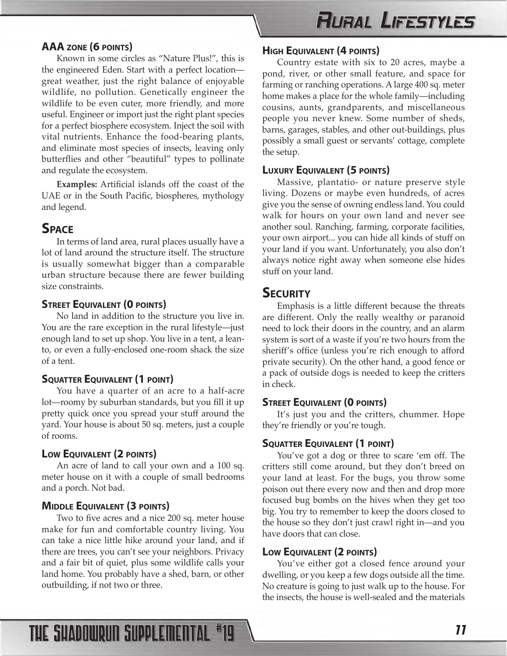## **RURAL LIFESTYLES**

#### <span id="page-10-0"></span>**AAA ZONE (6 POINTS)**

Known in some circles as "Nature Plus!", this is the engineered Eden. Start with a perfect location great weather, just the right balance of enjoyable wildlife, no pollution. Genetically engineer the wildlife to be even cuter, more friendly, and more useful. Engineer or import just the right plant species for a perfect biosphere ecosystem. Inject the soil with vital nutrients. Enhance the food-bearing plants, and eliminate most species of insects, leaving only butterflies and other "beautiful" types to pollinate and regulate the ecosystem.

**Examples:** Artificial islands off the coast of the UAE or in the South Pacific, biospheres, mythology and legend.

#### **SPACE**

In terms of land area, rural places usually have a lot of land around the structure itself. The structure is usually somewhat bigger than a comparable urban structure because there are fewer building size constraints.

#### **STREET EQUIVALENT (0 POINTS)**

No land in addition to the structure you live in. You are the rare exception in the rural lifestyle—just enough land to set up shop. You live in a tent, a leanto, or even a fully-enclosed one-room shack the size of a tent.

#### **SQUATTER EQUIVALENT (1 POINT)**

You have a quarter of an acre to a half-acre lot—roomy by suburban standards, but you fill it up pretty quick once you spread your stuff around the yard. Your house is about 50 sq. meters, just a couple of rooms.

#### **LOW EQUIVALENT (2 POINTS)**

An acre of land to call your own and a 100 sq. meter house on it with a couple of small bedrooms and a porch. Not bad.

#### **MIDDLE EQUIVALENT (3 POINTS)**

Two to five acres and a nice 200 sq. meter house make for fun and comfortable country living. You can take a nice little hike around your land, and if there are trees, you can't see your neighbors. Privacy and a fair bit of quiet, plus some wildlife calls your land home. You probably have a shed, barn, or other outbuilding, if not two or three.

#### **HIGH EQUIVALENT (4 POINTS)**

Country estate with six to 20 acres, maybe a pond, river, or other small feature, and space for farming or ranching operations. A large 400 sq. meter home makes a place for the whole family—including cousins, aunts, grandparents, and miscellaneous people you never knew. Some number of sheds, barns, garages, stables, and other out-buildings, plus possibly a small guest or servants' cottage, complete the setup.

#### **LUXURY EQUIVALENT (5 POINTS)**

Massive, plantatio- or nature preserve style living. Dozens or maybe even hundreds, of acres give you the sense of owning endless land. You could walk for hours on your own land and never see another soul. Ranching, farming, corporate facilities, your own airport... you can hide all kinds of stuff on your land if you want. Unfortunately, you also don't always notice right away when someone else hides stuff on your land.

#### **SECURITY**

Emphasis is a little different because the threats are different. Only the really wealthy or paranoid need to lock their doors in the country, and an alarm system is sort of a waste if you're two hours from the sheriff's office (unless you're rich enough to afford private security). On the other hand, a good fence or a pack of outside dogs is needed to keep the critters in check.

#### **STREET EQUIVALENT (0 POINTS)**

It's just you and the critters, chummer. Hope they're friendly or you're tough.

#### **SQUATTER EQUIVALENT (1 POINT)**

You've got a dog or three to scare 'em off. The critters still come around, but they don't breed on your land at least. For the bugs, you throw some poison out there every now and then and drop more focused bug bombs on the hives when they get too big. You try to remember to keep the doors closed to the house so they don't just crawl right in—and you have doors that can close.

#### **LOW EQUIVALENT (2 POINTS)**

You've either got a closed fence around your dwelling, or you keep a few dogs outside all the time. No creature is going to just walk up to the house. For the insects, the house is well-sealed and the materials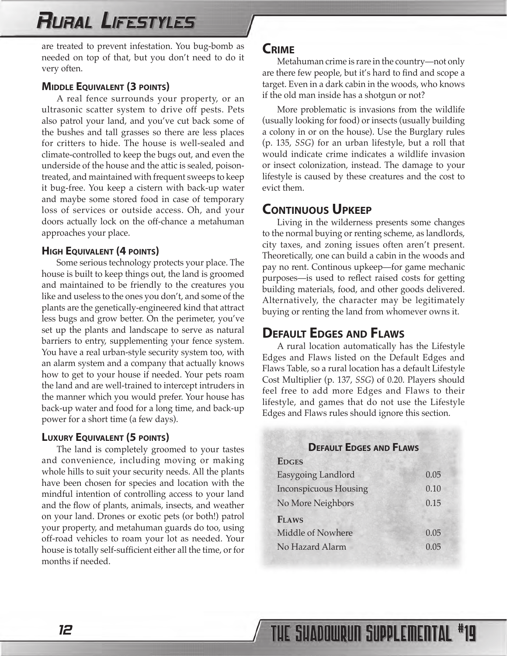## <span id="page-11-0"></span>**RURAL LIFESTYLES**

are treated to prevent infestation. You bug-bomb as needed on top of that, but you don't need to do it very often.

#### **MIDDLE EQUIVALENT (3 POINTS)**

A real fence surrounds your property, or an ultrasonic scatter system to drive off pests. Pets also patrol your land, and you've cut back some of the bushes and tall grasses so there are less places for critters to hide. The house is well-sealed and climate-controlled to keep the bugs out, and even the underside of the house and the attic is sealed, poisontreated, and maintained with frequent sweeps to keep it bug-free. You keep a cistern with back-up water and maybe some stored food in case of temporary loss of services or outside access. Oh, and your doors actually lock on the off-chance a metahuman approaches your place.

#### **HIGH EQUIVALENT (4 POINTS)**

Some serious technology protects your place. The house is built to keep things out, the land is groomed and maintained to be friendly to the creatures you like and useless to the ones you don't, and some of the plants are the genetically-engineered kind that attract less bugs and grow better. On the perimeter, you've set up the plants and landscape to serve as natural barriers to entry, supplementing your fence system. You have a real urban-style security system too, with an alarm system and a company that actually knows how to get to your house if needed. Your pets roam the land and are well-trained to intercept intruders in the manner which you would prefer. Your house has back-up water and food for a long time, and back-up power for a short time (a few days).

#### **LUXURY EQUIVALENT (5 POINTS)**

The land is completely groomed to your tastes and convenience, including moving or making whole hills to suit your security needs. All the plants have been chosen for species and location with the mindful intention of controlling access to your land and the flow of plants, animals, insects, and weather on your land. Drones or exotic pets (or both!) patrol your property, and metahuman guards do too, using off-road vehicles to roam your lot as needed. Your house is totally self-sufficient either all the time, or for months if needed.

#### **CRIME**

Metahuman crime is rare in the country—not only are there few people, but it's hard to find and scope a target. Even in a dark cabin in the woods, who knows if the old man inside has a shotgun or not?

More problematic is invasions from the wildlife (usually looking for food) or insects (usually building a colony in or on the house). Use the Burglary rules (p. 135, *SSG*) for an urban lifestyle, but a roll that would indicate crime indicates a wildlife invasion or insect colonization, instead. The damage to your lifestyle is caused by these creatures and the cost to evict them.

#### **CONTINUOUS UPKEEP**

Living in the wilderness presents some changes to the normal buying or renting scheme, as landlords, city taxes, and zoning issues often aren't present. Theoretically, one can build a cabin in the woods and pay no rent. Continous upkeep—for game mechanic purposes—is used to reflect raised costs for getting building materials, food, and other goods delivered. Alternatively, the character may be legitimately buying or renting the land from whomever owns it.

#### **DEFAULT EDGES AND FLAWS**

A rural location automatically has the Lifestyle Edges and Flaws listed on the Default Edges and Flaws Table, so a rural location has a default Lifestyle Cost Multiplier (p. 137, *SSG*) of 0.20. Players should feel free to add more Edges and Flaws to their lifestyle, and games that do not use the Lifestyle Edges and Flaws rules should ignore this section.

#### **DEFAULT EDGES AND FLAWS**

| <b>EDGES</b>                 |      |
|------------------------------|------|
| Easygoing Landlord           | 0.05 |
| <b>Inconspicuous Housing</b> | 0.10 |
| No More Neighbors            | 0.15 |
| <b>FLAWS</b>                 |      |
| Middle of Nowhere            | 0.05 |
| No Hazard Alarm              | 0.05 |
|                              |      |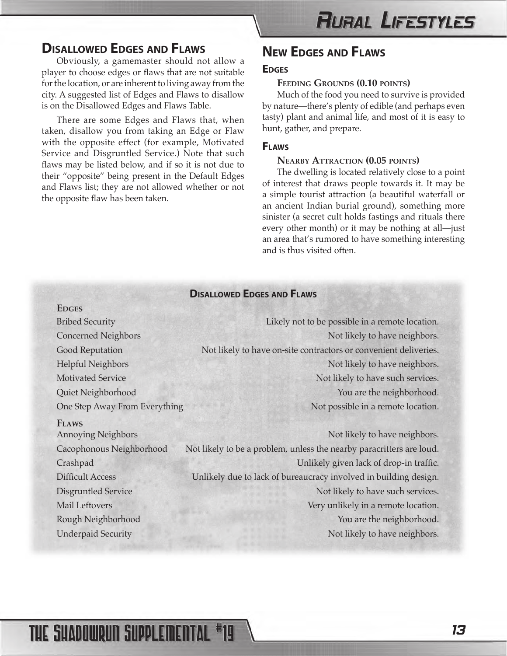## **RURAL LIFESTYLES**

#### <span id="page-12-0"></span>**DISALLOWED EDGES AND FLAWS**

Obviously, a gamemaster should not allow a player to choose edges or flaws that are not suitable for the location, or are inherent to living away from the city. A suggested list of Edges and Flaws to disallow is on the Disallowed Edges and Flaws Table.

There are some Edges and Flaws that, when taken, disallow you from taking an Edge or Flaw with the opposite effect (for example, Motivated Service and Disgruntled Service.) Note that such flaws may be listed below, and if so it is not due to their "opposite" being present in the Default Edges and Flaws list; they are not allowed whether or not the opposite flaw has been taken.

#### **NEW EDGES AND FLAWS**

#### **EDGES**

#### **FEEDING GROUNDS (0.10 POINTS)**

Much of the food you need to survive is provided by nature—there's plenty of edible (and perhaps even tasty) plant and animal life, and most of it is easy to hunt, gather, and prepare.

#### **FLAWS**

#### **NEARBY ATTRACTION (0.05 POINTS)**

The dwelling is located relatively close to a point of interest that draws people towards it. It may be a simple tourist attraction (a beautiful waterfall or an ancient Indian burial ground), something more sinister (a secret cult holds fastings and rituals there every other month) or it may be nothing at all—just an area that's rumored to have something interesting and is thus visited often.

#### **DISALLOWED EDGES AND FLAWS**

**EDGES**

#### **FLAWS**

Bribed Security Likely not to be possible in a remote location. Concerned Neighbors Not likely to have neighbors. Good Reputation Not likely to have on-site contractors or convenient deliveries. Helpful Neighbors Not likely to have neighbors. Motivated Service Not likely to have such services. Quiet Neighborhood You are the neighborhood. One Step Away From Everything Not possible in a remote location.

Annoying Neighbors Not likely to have neighbors. Cacophonous Neighborhood Not likely to be a problem, unless the nearby paracritters are loud. Crashpad Unlikely given lack of drop-in traffic. Difficult Access Unlikely due to lack of bureaucracy involved in building design. Disgruntled Service Not likely to have such services. Mail Leftovers Very unlikely in a remote location. Rough Neighborhood You are the neighborhood. Underpaid Security **Not likely to have neighbors.** Not likely to have neighbors.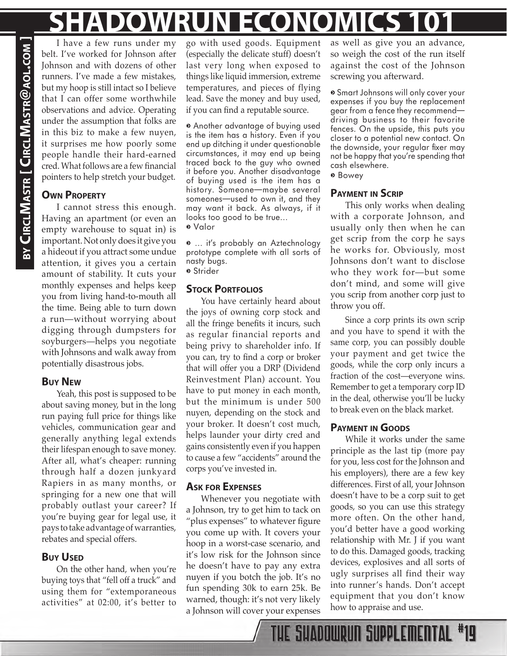# **SHADOWRUN ECONOMICS 101**

I have a few runs under my belt. I've worked for Johnson after Johnson and with dozens of other runners. I've made a few mistakes, but my hoop is still intact so I believe that I can offer some worthwhile observations and advice. Operating under the assumption that folks are in this biz to make a few nuyen, it surprises me how poorly some people handle their hard-earned cred. What follows are a few financial pointers to help stretch your budget.

#### **OWN PROPERTY**

**BY CIRCL**

**MASTR [ CIRCL**

**MASTR**

<span id="page-13-0"></span>**@AOL.COM ]**

I cannot stress this enough. Having an apartment (or even an empty warehouse to squat in) is important. Not only does it give you a hideout if you attract some undue attention, it gives you a certain amount of stability. It cuts your monthly expenses and helps keep you from living hand-to-mouth all the time. Being able to turn down a run—without worrying about digging through dumpsters for soyburgers—helps you negotiate with Johnsons and walk away from potentially disastrous jobs.

#### **BUY NEW**

Yeah, this post is supposed to be about saving money, but in the long run paying full price for things like vehicles, communication gear and generally anything legal extends their lifespan enough to save money. After all, what's cheaper: running through half a dozen junkyard Rapiers in as many months, or springing for a new one that will probably outlast your career? If you're buying gear for legal use, it pays to take advantage of warranties, rebates and special offers.

#### **BUY USED**

On the other hand, when you're buying toys that "fell off a truck" and using them for "extemporaneous activities" at 02:00, it's better to

go with used goods. Equipment (especially the delicate stuff) doesn't last very long when exposed to things like liquid immersion, extreme temperatures, and pieces of flying lead. Save the money and buy used, if you can find a reputable source.

• Another advantage of buying used is the item has a history. Even if you end up ditching it under questionable circumstances, it may end up being traced back to the guy who owned it before you. Another disadvantage of buying used is the item has a history. Someone—maybe several someones—used to own it, and they may want it back. As always, if it looks too good to be true… ¬ Valor

¬ … it's probably an Aztechnology prototype complete with all sorts of nasty bugs. ¬ Strider

#### **STOCK PORTFOLIOS**

You have certainly heard about the joys of owning corp stock and all the fringe benefits it incurs, such as regular financial reports and being privy to shareholder info. If you can, try to find a corp or broker that will offer you a DRP (Dividend Reinvestment Plan) account. You have to put money in each month, but the minimum is under 500 nuyen, depending on the stock and your broker. It doesn't cost much, helps launder your dirty cred and gains consistently even if you happen to cause a few "accidents" around the corps you've invested in.

#### **ASK FOR EXPENSES**

Whenever you negotiate with a Johnson, try to get him to tack on "plus expenses" to whatever figure you come up with. It covers your hoop in a worst-case scenario, and it's low risk for the Johnson since he doesn't have to pay any extra nuyen if you botch the job. It's no fun spending 30k to earn 25k. Be warned, though: it's not very likely a Johnson will cover your expenses

as well as give you an advance, so weigh the cost of the run itself against the cost of the Johnson screwing you afterward.

¬ Smart Johnsons will only cover your expenses if you buy the replacement gear from a fence they recommend driving business to their favorite fences. On the upside, this puts you closer to a potential new contact. On the downside, your regular fixer may not be happy that you're spending that cash elsewhere. ¬ Bowey

#### **PAYMENT IN SCRIP**

This only works when dealing with a corporate Johnson, and usually only then when he can get scrip from the corp he says he works for. Obviously, most Johnsons don't want to disclose who they work for—but some don't mind, and some will give you scrip from another corp just to throw you off.

Since a corp prints its own scrip and you have to spend it with the same corp, you can possibly double your payment and get twice the goods, while the corp only incurs a fraction of the cost—everyone wins. Remember to get a temporary corp ID in the deal, otherwise you'll be lucky to break even on the black market.

#### **PAYMENT IN GOODS**

THE SHADOWRUN SUPPLEMENTAL #19

While it works under the same principle as the last tip (more pay for you, less cost for the Johnson and his employers), there are a few key differences. First of all, your Johnson doesn't have to be a corp suit to get goods, so you can use this strategy more often. On the other hand, you'd better have a good working relationship with Mr. J if you want to do this. Damaged goods, tracking devices, explosives and all sorts of ugly surprises all find their way into runner's hands. Don't accept equipment that you don't know how to appraise and use.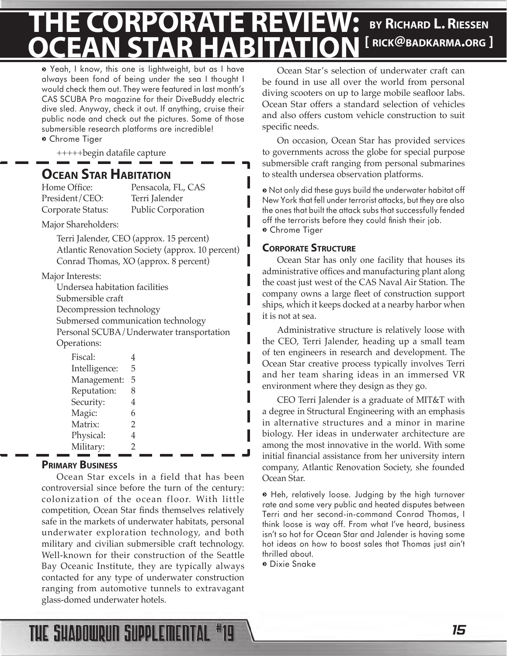#### <span id="page-14-0"></span>**BY RICHARD L. RIESSEN [ RICK@BADKARMA.ORG ] THE CORPORATE REVIEW: OCEAN STAR HABITATION**

¬ Yeah, I know, this one is lightweight, but as I have always been fond of being under the sea I thought I would check them out. They were featured in last month's CAS SCUBA Pro magazine for their DiveBuddy electric dive sled. Anyway, check it out. If anything, cruise their public node and check out the pictures. Some of those submersible research platforms are incredible! ¬ Chrome Tiger

+++++begin datafile capture

## **OCEAN STAR HABITATION**<br>Home Office: Pensacola.

President/CEO: Terri Jalender

Pensacola, FL, CAS Corporate Status: Public Corporation

Major Shareholders:

Terri Jalender, CEO (approx. 15 percent) Atlantic Renovation Society (approx. 10 percent) Conrad Thomas, XO (approx. 8 percent)

Major Interests:

Undersea habitation facilities Submersible craft Decompression technology Submersed communication technology Personal SCUBA/Underwater transportation Operations:

| Fiscal:       |   |
|---------------|---|
| Intelligence: | 5 |
| Management:   | 5 |
| Reputation:   | 8 |
| Security:     |   |
| Magic:        |   |
| Matrix:       | 2 |
| Physical:     |   |
| Military:     | 2 |
|               |   |

#### **PRIMARY BUSINESS**

Ocean Star excels in a field that has been controversial since before the turn of the century: colonization of the ocean floor. With little competition, Ocean Star finds themselves relatively safe in the markets of underwater habitats, personal underwater exploration technology, and both military and civilian submersible craft technology. Well-known for their construction of the Seattle Bay Oceanic Institute, they are typically always contacted for any type of underwater construction ranging from automotive tunnels to extravagant glass-domed underwater hotels.

Ocean Star's selection of underwater craft can be found in use all over the world from personal diving scooters on up to large mobile seafloor labs. Ocean Star offers a standard selection of vehicles and also offers custom vehicle construction to suit specific needs.

On occasion, Ocean Star has provided services to governments across the globe for special purpose submersible craft ranging from personal submarines to stealth undersea observation platforms.

¬ Not only did these guys build the underwater habitat off New York that fell under terrorist attacks, but they are also the ones that built the attack subs that successfully fended off the terrorists before they could finish their job. ¬ Chrome Tiger

#### **CORPORATE STRUCTURE**

Ocean Star has only one facility that houses its administrative offices and manufacturing plant along the coast just west of the CAS Naval Air Station. The company owns a large fleet of construction support ships, which it keeps docked at a nearby harbor when it is not at sea.

Administrative structure is relatively loose with the CEO, Terri Jalender, heading up a small team of ten engineers in research and development. The Ocean Star creative process typically involves Terri and her team sharing ideas in an immersed VR environment where they design as they go.

CEO Terri Jalender is a graduate of MIT&T with a degree in Structural Engineering with an emphasis in alternative structures and a minor in marine biology. Her ideas in underwater architecture are among the most innovative in the world. With some initial financial assistance from her university intern company, Atlantic Renovation Society, she founded Ocean Star.

¬ Heh, relatively loose. Judging by the high turnover rate and some very public and heated disputes between Terri and her second-in-command Conrad Thomas, I think loose is way off. From what I've heard, business isn't so hot for Ocean Star and Jalender is having some hot ideas on how to boost sales that Thomas just ain't thrilled about.

¬ Dixie Snake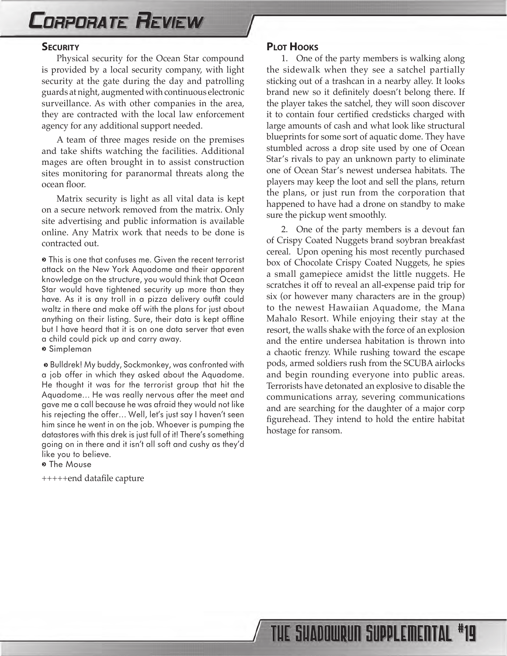## <span id="page-15-0"></span>**CORPORATE REVIEW**

#### **SECURITY**

Physical security for the Ocean Star compound is provided by a local security company, with light security at the gate during the day and patrolling guards at night, augmented with continuous electronic surveillance. As with other companies in the area, they are contracted with the local law enforcement agency for any additional support needed.

A team of three mages reside on the premises and take shifts watching the facilities. Additional mages are often brought in to assist construction sites monitoring for paranormal threats along the ocean floor.

Matrix security is light as all vital data is kept on a secure network removed from the matrix. Only site advertising and public information is available online. Any Matrix work that needs to be done is contracted out.

¬ This is one that confuses me. Given the recent terrorist attack on the New York Aquadome and their apparent knowledge on the structure, you would think that Ocean Star would have tightened security up more than they have. As it is any troll in a pizza delivery outfit could waltz in there and make off with the plans for just about anything on their listing. Sure, their data is kept offline but I have heard that it is on one data server that even a child could pick up and carry away.

¬ Simpleman

¬ Bulldrek! My buddy, Sockmonkey, was confronted with a job offer in which they asked about the Aquadome. He thought it was for the terrorist group that hit the Aquadome… He was really nervous after the meet and gave me a call because he was afraid they would not like his rejecting the offer… Well, let's just say I haven't seen him since he went in on the job. Whoever is pumping the datastores with this drek is just full of it! There's something going on in there and it isn't all soft and cushy as they'd like you to believe.

o The Mouse

+++++end datafile capture

#### **PLOT HOOKS**

1. One of the party members is walking along the sidewalk when they see a satchel partially sticking out of a trashcan in a nearby alley. It looks brand new so it definitely doesn't belong there. If the player takes the satchel, they will soon discover it to contain four certified credsticks charged with large amounts of cash and what look like structural blueprints for some sort of aquatic dome. They have stumbled across a drop site used by one of Ocean Star's rivals to pay an unknown party to eliminate one of Ocean Star's newest undersea habitats. The players may keep the loot and sell the plans, return the plans, or just run from the corporation that happened to have had a drone on standby to make sure the pickup went smoothly.

2. One of the party members is a devout fan of Crispy Coated Nuggets brand soybran breakfast cereal. Upon opening his most recently purchased box of Chocolate Crispy Coated Nuggets, he spies a small gamepiece amidst the little nuggets. He scratches it off to reveal an all-expense paid trip for six (or however many characters are in the group) to the newest Hawaiian Aquadome, the Mana Mahalo Resort. While enjoying their stay at the resort, the walls shake with the force of an explosion and the entire undersea habitation is thrown into a chaotic frenzy. While rushing toward the escape pods, armed soldiers rush from the SCUBA airlocks and begin rounding everyone into public areas. Terrorists have detonated an explosive to disable the communications array, severing communications and are searching for the daughter of a major corp figurehead. They intend to hold the entire habitat hostage for ransom.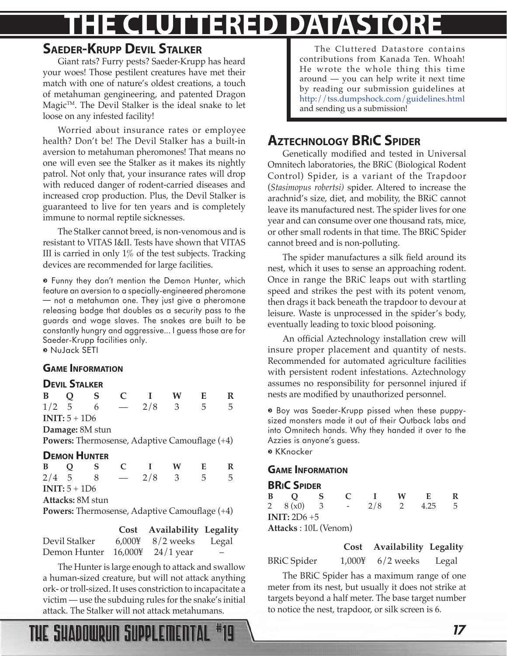# <span id="page-16-0"></span>**E CLUTTERED DATAST**

#### **SAEDER-KRUPP DEVIL STALKER**

Giant rats? Furry pests? Saeder-Krupp has heard your woes! Those pestilent creatures have met their match with one of nature's oldest creations, a touch of metahuman gengineering, and patented Dragon  $\text{Magic}^{\text{TM}}$ . The Devil Stalker is the ideal snake to let loose on any infested facility!

Worried about insurance rates or employee health? Don't be! The Devil Stalker has a built-in aversion to metahuman pheromones! That means no one will even see the Stalker as it makes its nightly patrol. Not only that, your insurance rates will drop with reduced danger of rodent-carried diseases and increased crop production. Plus, the Devil Stalker is guaranteed to live for ten years and is completely immune to normal reptile sicknesses.

The Stalker cannot breed, is non-venomous and is resistant to VITAS I&II. Tests have shown that VITAS III is carried in only 1% of the test subjects. Tracking devices are recommended for large facilities.

¬ Funny they don't mention the Demon Hunter, which feature an aversion to a specially-engineered pheromone — not a metahuman one. They just give a pheromone releasing badge that doubles as a security pass to the guards and wage slaves. The snakes are built to be constantly hungry and aggressive... I guess those are for Saeder-Krupp facilities only.

#### ¬ NuJack SETI

#### **GAME INFORMATION**

#### **DEVIL STALKER**

| B                                                    | $\overline{Q}$ | $\mathbf S$         |   | $\blacksquare$                                | W                        | E   | R |
|------------------------------------------------------|----------------|---------------------|---|-----------------------------------------------|--------------------------|-----|---|
| $1/2$ 5                                              |                | 6                   |   | 2/8                                           | $\overline{\phantom{a}}$ | -5  | 5 |
|                                                      | $INT: 5 + 1D6$ |                     |   |                                               |                          |     |   |
|                                                      |                | Damage: 8M stun     |   |                                               |                          |     |   |
|                                                      |                |                     |   | Powers: Thermosense, Adaptive Camouflage (+4) |                          |     |   |
|                                                      |                | <b>DEMON HUNTER</b> |   |                                               |                          |     |   |
| B Q                                                  |                | - S                 | C | $\blacksquare$                                | W                        | E   | R |
| $2/4$ 5                                              |                | - 8                 |   | 2/8                                           | $\overline{3}$           | - 5 | 5 |
|                                                      | $INT: 5 + 1D6$ |                     |   |                                               |                          |     |   |
|                                                      |                | Attacks: 8M stun    |   |                                               |                          |     |   |
| <b>Powers:</b> Thermosense, Adaptive Camouflage (+4) |                |                     |   |                                               |                          |     |   |
|                                                      |                |                     |   |                                               |                          |     |   |

|                                            | Cost Availability Legality         |                          |
|--------------------------------------------|------------------------------------|--------------------------|
| Devil Stalker                              | $6,000\frac{1}{2}$ 8/2 weeks Legal |                          |
| Demon Hunter $16,000\frac{1}{2}$ 24/1 year |                                    | $\overline{\phantom{0}}$ |

The Hunter is large enough to attack and swallow a human-sized creature, but will not attack anything ork- or troll-sized. It uses constriction to incapacitate a victim — use the subduing rules for the snake's initial attack. The Stalker will not attack metahumans.

THE SHADOWRUN SUPPLEMENTAL

The Cluttered Datastore contains contributions from Kanada Ten. Whoah! He wrote the whole thing this time around — you can help write it next time by reading our submission guidelines at <http://tss.dumpshock.com/guidelines.html> and sending us a submission!

#### **AZTECHNOLOGY BRIC SPIDER**

Genetically modified and tested in Universal Omnitech laboratories, the BRiC (Biological Rodent Control) Spider, is a variant of the Trapdoor (*Stasimopus robertsi)* spider. Altered to increase the arachnid's size, diet, and mobility, the BRiC cannot leave its manufactured nest. The spider lives for one year and can consume over one thousand rats, mice, or other small rodents in that time. The BRiC Spider cannot breed and is non-polluting.

The spider manufactures a silk field around its nest, which it uses to sense an approaching rodent. Once in range the BRiC leaps out with startling speed and strikes the pest with its potent venom, then drags it back beneath the trapdoor to devour at leisure. Waste is unprocessed in the spider's body, eventually leading to toxic blood poisoning.

An official Aztechnology installation crew will insure proper placement and quantity of nests. Recommended for automated agriculture facilities with persistent rodent infestations. Aztechnology assumes no responsibility for personnel injured if nests are modified by unauthorized personnel.

¬ Boy was Saeder-Krupp pissed when these puppysized monsters made it out of their Outback labs and into Omnitech hands. Why they handed it over to the Azzies is anyone's guess.

¬ KKnocker

#### **GAME INFORMATION**

#### **BRIC SPIDER**

| B               | $\mathbf O$                  | S | $\mathbf{C}$ |     | W             |      |    |  |  |
|-----------------|------------------------------|---|--------------|-----|---------------|------|----|--|--|
|                 | 2 $8(x0)$                    |   | $-$          | 2/8 | $\mathcal{D}$ | 4.25 | h. |  |  |
| INIT: $2D6 + 5$ |                              |   |              |     |               |      |    |  |  |
|                 | <b>Attacks</b> : 10L (Venom) |   |              |     |               |      |    |  |  |

**Cost Availability Legality**

BRiC Spider 1,000¥ 6/2 weeks Legal

The BRiC Spider has a maximum range of one meter from its nest, but usually it does not strike at targets beyond a half meter. The base target number to notice the nest, trapdoor, or silk screen is 6.